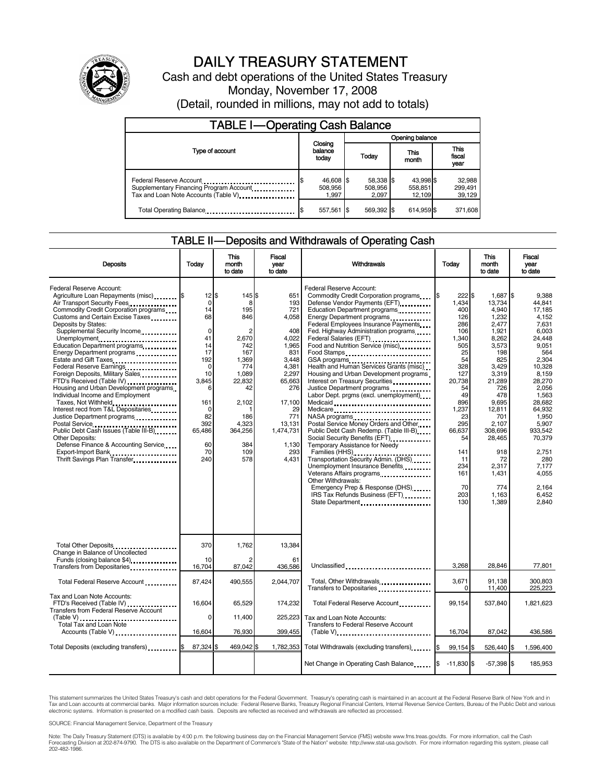

# DAILY TREASURY STATEMENT

Cash and debt operations of the United States Treasury Monday, November 17, 2008 (Detail, rounded in millions, may not add to totals)

| <b>TABLE I-Operating Cash Balance</b>                                                                      |                               |                               |                                |                               |  |
|------------------------------------------------------------------------------------------------------------|-------------------------------|-------------------------------|--------------------------------|-------------------------------|--|
|                                                                                                            |                               | Opening balance               |                                |                               |  |
| Type of account                                                                                            | Closing<br>balance<br>todav   | Today                         | This<br>month                  | <b>This</b><br>fiscal<br>year |  |
| Federal Reserve Account<br>Supplementary Financing Program Account<br>Tax and Loan Note Accounts (Table V) | 46,608 \$<br>508,956<br>1.997 | 58,338 \$<br>508,956<br>2.097 | 43,998 \$<br>558,851<br>12.109 | 32,988<br>299,491<br>39,129   |  |
| Total Operating Balance                                                                                    | 557,561                       | 569.392 \$                    | 614.959 \$                     | 371,608                       |  |

#### TABLE II — Deposits and Withdrawals of Operating Cash

|                                                                                                                                                                                                                                                                                                                                                                                                                                                                                                                                                                                                                                                                                                                                                                                                                     |                                                                                                                                                                      | This                                                                                                                                                                 | Fiscal                                                                                                                                                                        |                                                                                                                                                                                                                                                                                                                                                                                                                                                                                                                                                                                                                                                                                                                                                                                                                                                                                                                                                         |                                                                                                                                                                                                       | <b>This</b>                                                                                                                                                                                                                                      | Fiscal                                                                                                                                                                                                                                                         |
|---------------------------------------------------------------------------------------------------------------------------------------------------------------------------------------------------------------------------------------------------------------------------------------------------------------------------------------------------------------------------------------------------------------------------------------------------------------------------------------------------------------------------------------------------------------------------------------------------------------------------------------------------------------------------------------------------------------------------------------------------------------------------------------------------------------------|----------------------------------------------------------------------------------------------------------------------------------------------------------------------|----------------------------------------------------------------------------------------------------------------------------------------------------------------------|-------------------------------------------------------------------------------------------------------------------------------------------------------------------------------|---------------------------------------------------------------------------------------------------------------------------------------------------------------------------------------------------------------------------------------------------------------------------------------------------------------------------------------------------------------------------------------------------------------------------------------------------------------------------------------------------------------------------------------------------------------------------------------------------------------------------------------------------------------------------------------------------------------------------------------------------------------------------------------------------------------------------------------------------------------------------------------------------------------------------------------------------------|-------------------------------------------------------------------------------------------------------------------------------------------------------------------------------------------------------|--------------------------------------------------------------------------------------------------------------------------------------------------------------------------------------------------------------------------------------------------|----------------------------------------------------------------------------------------------------------------------------------------------------------------------------------------------------------------------------------------------------------------|
| <b>Deposits</b>                                                                                                                                                                                                                                                                                                                                                                                                                                                                                                                                                                                                                                                                                                                                                                                                     | Today                                                                                                                                                                | month<br>to date                                                                                                                                                     | vear<br>to date                                                                                                                                                               | Withdrawals                                                                                                                                                                                                                                                                                                                                                                                                                                                                                                                                                                                                                                                                                                                                                                                                                                                                                                                                             | Today                                                                                                                                                                                                 | month<br>to date                                                                                                                                                                                                                                 | year<br>to date                                                                                                                                                                                                                                                |
| <b>Federal Reserve Account:</b><br>Agriculture Loan Repayments (misc) [8<br>Air Transport Security Fees<br>Commodity Credit Corporation programs<br>Customs and Certain Excise Taxes<br>Deposits by States:<br>Supplemental Security Income<br>Unemployment<br>Education Department programs<br>Energy Department programs<br>Estate and Gift Taxes<br>Federal Reserve Earnings<br>Foreign Deposits, Military Sales<br>FTD's Received (Table IV)<br>Housing and Urban Development programs<br>Individual Income and Employment<br>Taxes, Not Withheld<br>Interest recd from T&L Depositaries<br>Justice Department programs<br><br>Postal Service<br>Public Debt Cash Issues (Table III-B)<br><b>Other Deposits:</b><br>Defense Finance & Accounting Service<br>Export-Import Bank<br>Thrift Savings Plan Transfer. | $12$ $\bar{s}$<br>$\Omega$<br>14<br>68<br>$\Omega$<br>41<br>14<br>17<br>192<br>$\mathbf 0$<br>10<br>3.845<br>6<br>161<br>0<br>82<br>392<br>65,486<br>60<br>70<br>240 | 145 \$<br>8<br>195<br>846<br>$\overline{2}$<br>2,670<br>742<br>167<br>1.369<br>774<br>1,089<br>22,832<br>42<br>2,102<br>186<br>4.323<br>364,256<br>384<br>109<br>578 | 651<br>193<br>721<br>4,058<br>408<br>4,022<br>1,965<br>831<br>3.448<br>4,381<br>2,297<br>65.663<br>276<br>17,100<br>29<br>771<br>13,131<br>1,474,731<br>1.130<br>293<br>4.431 | Federal Reserve Account:<br>Commodity Credit Corporation programs<br>Defense Vendor Payments (EFT)<br>Education Department programs<br>Energy Department programs<br>Federal Employees Insurance Payments<br>Fed. Highway Administration programs<br>Federal Salaries (EFT)<br>Food and Nutrition Service (misc)<br>Food Stamps<br>GSA programs<br>Health and Human Services Grants (misc)<br>Housing and Urban Development programs<br>Interest on Treasury Securities<br>Justice Department programs<br>Labor Dept. prgms (excl. unemployment)<br>Medicaid<br>Medicare<br>NASA programs<br>Postal Service Money Orders and Other<br>Public Debt Cash Redemp. (Table III-B)<br>Temporary Assistance for Needy<br>Families (HHS)<br>Transportation Security Admin. (DHS)<br>Unemployment Insurance Benefits<br>Veterans Affairs programs<br>Other Withdrawals:<br>Emergency Prep & Response (DHS)<br>IRS Tax Refunds Business (EFT)<br>State Department | 222S<br>1.434<br>400<br>126<br>286<br>106<br>1,340<br>505<br>25<br>54<br>328<br>127<br>20.738<br>54<br>49<br>896<br>1.237<br>23<br>295<br>66.637<br>54<br>141<br>11<br>234<br>161<br>70<br>203<br>130 | 1,687 \$<br>13,734<br>4,940<br>1,232<br>2,477<br>1,921<br>8,262<br>3,573<br>198<br>825<br>3,429<br>3,319<br>21,289<br>726<br>478<br>9.695<br>12.811<br>701<br>2.107<br>308.696<br>28.465<br>918<br>72<br>2,317<br>1,431<br>774<br>1,163<br>1,389 | 9.388<br>44.841<br>17,185<br>4,152<br>7.631<br>6,003<br>24.448<br>9,051<br>564<br>2.304<br>10,328<br>8.159<br>28.270<br>2,056<br>1,563<br>28.682<br>64.932<br>1,950<br>5.907<br>933,542<br>70.379<br>2.751<br>280<br>7,177<br>4,055<br>2.164<br>6.452<br>2,840 |
| Total Other Deposits<br>Change in Balance of Uncollected                                                                                                                                                                                                                                                                                                                                                                                                                                                                                                                                                                                                                                                                                                                                                            | 370                                                                                                                                                                  | 1,762                                                                                                                                                                | 13,384                                                                                                                                                                        |                                                                                                                                                                                                                                                                                                                                                                                                                                                                                                                                                                                                                                                                                                                                                                                                                                                                                                                                                         |                                                                                                                                                                                                       |                                                                                                                                                                                                                                                  |                                                                                                                                                                                                                                                                |
| Funds (closing balance \$4)<br>Transfers from Depositaries                                                                                                                                                                                                                                                                                                                                                                                                                                                                                                                                                                                                                                                                                                                                                          | 10<br>16,704                                                                                                                                                         | 87,042                                                                                                                                                               | 61<br>436,586                                                                                                                                                                 | Unclassified                                                                                                                                                                                                                                                                                                                                                                                                                                                                                                                                                                                                                                                                                                                                                                                                                                                                                                                                            | 3.268                                                                                                                                                                                                 | 28.846                                                                                                                                                                                                                                           | 77,801                                                                                                                                                                                                                                                         |
| Total Federal Reserve Account                                                                                                                                                                                                                                                                                                                                                                                                                                                                                                                                                                                                                                                                                                                                                                                       | 87,424                                                                                                                                                               | 490,555                                                                                                                                                              | 2,044,707                                                                                                                                                                     | Total, Other Withdrawals<br>Transfers to Depositaries                                                                                                                                                                                                                                                                                                                                                                                                                                                                                                                                                                                                                                                                                                                                                                                                                                                                                                   | 3,671<br>0                                                                                                                                                                                            | 91,138<br>11,400                                                                                                                                                                                                                                 | 300,803<br>225,223                                                                                                                                                                                                                                             |
| Tax and Loan Note Accounts:<br>FTD's Received (Table IV)<br><b>Transfers from Federal Reserve Account</b>                                                                                                                                                                                                                                                                                                                                                                                                                                                                                                                                                                                                                                                                                                           | 16.604                                                                                                                                                               | 65.529                                                                                                                                                               | 174.232                                                                                                                                                                       | Total Federal Reserve Account                                                                                                                                                                                                                                                                                                                                                                                                                                                                                                                                                                                                                                                                                                                                                                                                                                                                                                                           | 99.154                                                                                                                                                                                                | 537.840                                                                                                                                                                                                                                          | 1.821.623                                                                                                                                                                                                                                                      |
| <b>Total Tax and Loan Note</b>                                                                                                                                                                                                                                                                                                                                                                                                                                                                                                                                                                                                                                                                                                                                                                                      | 0<br>16.604                                                                                                                                                          | 11,400<br>76,930                                                                                                                                                     | 225,223<br>399,455                                                                                                                                                            | Tax and Loan Note Accounts:<br><b>Transfers to Federal Reserve Account</b>                                                                                                                                                                                                                                                                                                                                                                                                                                                                                                                                                                                                                                                                                                                                                                                                                                                                              | 16.704                                                                                                                                                                                                | 87.042                                                                                                                                                                                                                                           | 436.586                                                                                                                                                                                                                                                        |
| Accounts (Table V)                                                                                                                                                                                                                                                                                                                                                                                                                                                                                                                                                                                                                                                                                                                                                                                                  |                                                                                                                                                                      |                                                                                                                                                                      |                                                                                                                                                                               | $(Table V)$                                                                                                                                                                                                                                                                                                                                                                                                                                                                                                                                                                                                                                                                                                                                                                                                                                                                                                                                             |                                                                                                                                                                                                       |                                                                                                                                                                                                                                                  |                                                                                                                                                                                                                                                                |
| Total Deposits (excluding transfers) [1999]                                                                                                                                                                                                                                                                                                                                                                                                                                                                                                                                                                                                                                                                                                                                                                         | 87,324                                                                                                                                                               | 469,042 \$                                                                                                                                                           |                                                                                                                                                                               | 1,782,353 Total Withdrawals (excluding transfers)                                                                                                                                                                                                                                                                                                                                                                                                                                                                                                                                                                                                                                                                                                                                                                                                                                                                                                       | 99,154 \$                                                                                                                                                                                             | 526,440 \$                                                                                                                                                                                                                                       | 1.596.400                                                                                                                                                                                                                                                      |
|                                                                                                                                                                                                                                                                                                                                                                                                                                                                                                                                                                                                                                                                                                                                                                                                                     |                                                                                                                                                                      |                                                                                                                                                                      |                                                                                                                                                                               | Net Change in Operating Cash Balance                                                                                                                                                                                                                                                                                                                                                                                                                                                                                                                                                                                                                                                                                                                                                                                                                                                                                                                    | $-11.830$ \$                                                                                                                                                                                          | $-57,398$ \$                                                                                                                                                                                                                                     | 185,953                                                                                                                                                                                                                                                        |

This statement summarizes the United States Treasury's cash and debt operations for the Federal Government. Treasury's operating cash is maintained in an account at the Federal Reserve Bank of New York and in<br>Tax and Loan

SOURCE: Financial Management Service, Department of the Treasury

Note: The Daily Treasury Statement (DTS) is available by 4:00 p.m. the following business day on the Financial Management Service (FMS) website www.fms.treas.gov/dts. For more information, call the Cash<br>Forecasting Divisio eas.gov/dts. F<br>For more infor